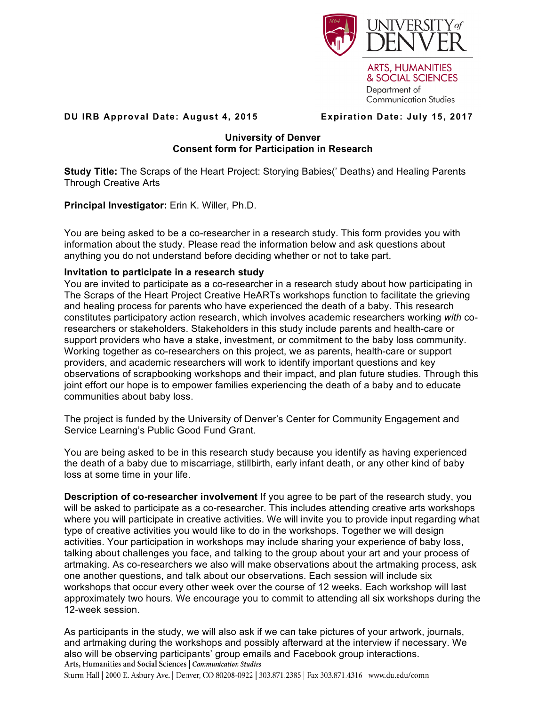

**ARTS, HUMANITIES** & SOCIAL SCIENCES Department of **Communication Studies** 

## **DU IRB Approval Date: August 4, 2015 Expiration Date: July 15, 2017**

## **University of Denver Consent form for Participation in Research**

**Study Title:** The Scraps of the Heart Project: Storying Babies(' Deaths) and Healing Parents Through Creative Arts

**Principal Investigator:** Erin K. Willer, Ph.D.

You are being asked to be a co-researcher in a research study. This form provides you with information about the study. Please read the information below and ask questions about anything you do not understand before deciding whether or not to take part.

# **Invitation to participate in a research study**

You are invited to participate as a co-researcher in a research study about how participating in The Scraps of the Heart Project Creative HeARTs workshops function to facilitate the grieving and healing process for parents who have experienced the death of a baby. This research constitutes participatory action research, which involves academic researchers working *with* coresearchers or stakeholders. Stakeholders in this study include parents and health-care or support providers who have a stake, investment, or commitment to the baby loss community. Working together as co-researchers on this project, we as parents, health-care or support providers, and academic researchers will work to identify important questions and key observations of scrapbooking workshops and their impact, and plan future studies. Through this joint effort our hope is to empower families experiencing the death of a baby and to educate communities about baby loss.

The project is funded by the University of Denver's Center for Community Engagement and Service Learning's Public Good Fund Grant.

You are being asked to be in this research study because you identify as having experienced the death of a baby due to miscarriage, stillbirth, early infant death, or any other kind of baby loss at some time in your life.

**Description of co-researcher involvement** If you agree to be part of the research study, you will be asked to participate as a co-researcher. This includes attending creative arts workshops where you will participate in creative activities. We will invite you to provide input regarding what type of creative activities you would like to do in the workshops. Together we will design activities. Your participation in workshops may include sharing your experience of baby loss, talking about challenges you face, and talking to the group about your art and your process of artmaking. As co-researchers we also will make observations about the artmaking process, ask one another questions, and talk about our observations. Each session will include six workshops that occur every other week over the course of 12 weeks. Each workshop will last approximately two hours. We encourage you to commit to attending all six workshops during the 12-week session.

As participants in the study, we will also ask if we can take pictures of your artwork, journals, and artmaking during the workshops and possibly afterward at the interview if necessary. We also will be observing participants' group emails and Facebook group interactions.<br>Arts, Humanities and Social Sciences | Communication Studies

Sturm Hall | 2000 E. Asbury Ave. | Denver, CO 80208-0922 | 303.871.2385 | Fax 303.871.4316 | www.du.edu/comn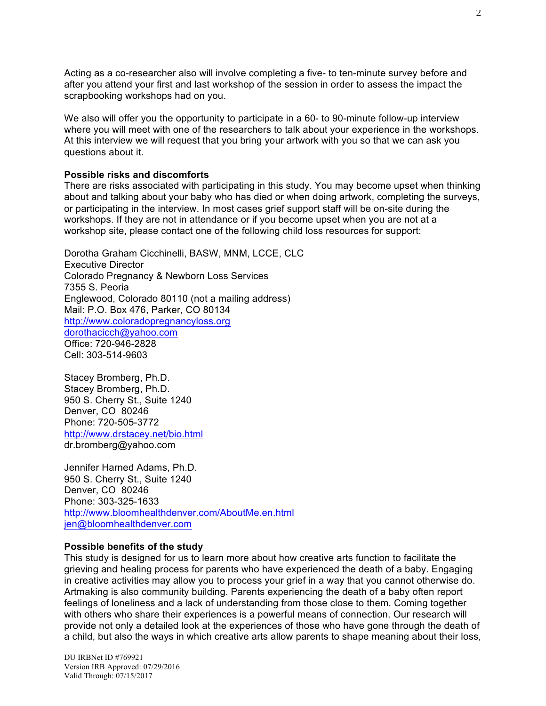Acting as a co-researcher also will involve completing a five- to ten-minute survey before and after you attend your first and last workshop of the session in order to assess the impact the scrapbooking workshops had on you.

We also will offer you the opportunity to participate in a 60- to 90-minute follow-up interview where you will meet with one of the researchers to talk about your experience in the workshops. At this interview we will request that you bring your artwork with you so that we can ask you questions about it.

#### **Possible risks and discomforts**

There are risks associated with participating in this study. You may become upset when thinking about and talking about your baby who has died or when doing artwork, completing the surveys, or participating in the interview. In most cases grief support staff will be on-site during the workshops. If they are not in attendance or if you become upset when you are not at a workshop site, please contact one of the following child loss resources for support:

Dorotha Graham Cicchinelli, BASW, MNM, LCCE, CLC Executive Director Colorado Pregnancy & Newborn Loss Services 7355 S. Peoria Englewood, Colorado 80110 (not a mailing address) Mail: P.O. Box 476, Parker, CO 80134 http://www.coloradopregnancyloss.org dorothacicch@yahoo.com Office: 720-946-2828 Cell: 303-514-9603

Stacey Bromberg, Ph.D. Stacey Bromberg, Ph.D. 950 S. Cherry St., Suite 1240 Denver, CO 80246 Phone: 720-505-3772 http://www.drstacey.net/bio.html dr.bromberg@yahoo.com

Jennifer Harned Adams, Ph.D. 950 S. Cherry St., Suite 1240 Denver, CO 80246 Phone: 303-325-1633 http://www.bloomhealthdenver.com/AboutMe.en.html jen@bloomhealthdenver.com

## **Possible benefits of the study**

This study is designed for us to learn more about how creative arts function to facilitate the grieving and healing process for parents who have experienced the death of a baby. Engaging in creative activities may allow you to process your grief in a way that you cannot otherwise do. Artmaking is also community building. Parents experiencing the death of a baby often report feelings of loneliness and a lack of understanding from those close to them. Coming together with others who share their experiences is a powerful means of connection. Our research will provide not only a detailed look at the experiences of those who have gone through the death of a child, but also the ways in which creative arts allow parents to shape meaning about their loss,

DU IRBNet ID #769921 Version IRB Approved: 07/29/2016 Valid Through: 07/15/2017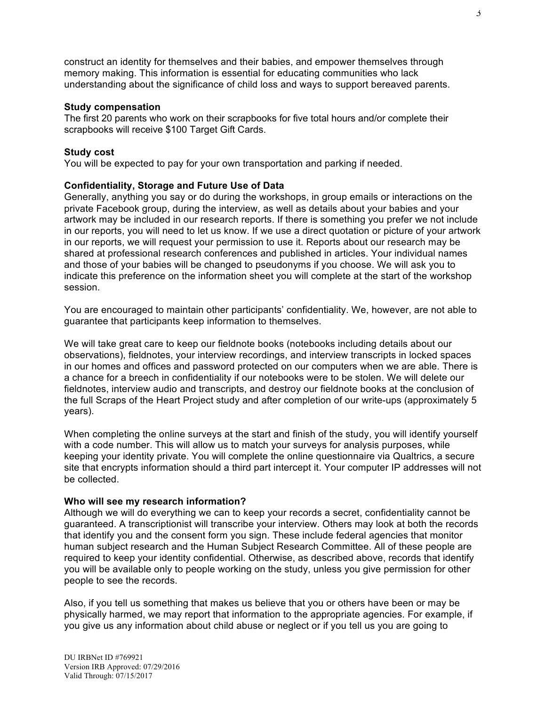construct an identity for themselves and their babies, and empower themselves through memory making. This information is essential for educating communities who lack understanding about the significance of child loss and ways to support bereaved parents.

#### **Study compensation**

The first 20 parents who work on their scrapbooks for five total hours and/or complete their scrapbooks will receive \$100 Target Gift Cards.

#### **Study cost**

You will be expected to pay for your own transportation and parking if needed.

## **Confidentiality, Storage and Future Use of Data**

Generally, anything you say or do during the workshops, in group emails or interactions on the private Facebook group, during the interview, as well as details about your babies and your artwork may be included in our research reports. If there is something you prefer we not include in our reports, you will need to let us know. If we use a direct quotation or picture of your artwork in our reports, we will request your permission to use it. Reports about our research may be shared at professional research conferences and published in articles. Your individual names and those of your babies will be changed to pseudonyms if you choose. We will ask you to indicate this preference on the information sheet you will complete at the start of the workshop session.

You are encouraged to maintain other participants' confidentiality. We, however, are not able to guarantee that participants keep information to themselves.

We will take great care to keep our fieldnote books (notebooks including details about our observations), fieldnotes, your interview recordings, and interview transcripts in locked spaces in our homes and offices and password protected on our computers when we are able. There is a chance for a breech in confidentiality if our notebooks were to be stolen. We will delete our fieldnotes, interview audio and transcripts, and destroy our fieldnote books at the conclusion of the full Scraps of the Heart Project study and after completion of our write-ups (approximately 5 years).

When completing the online surveys at the start and finish of the study, you will identify yourself with a code number. This will allow us to match your surveys for analysis purposes, while keeping your identity private. You will complete the online questionnaire via Qualtrics, a secure site that encrypts information should a third part intercept it. Your computer IP addresses will not be collected.

## **Who will see my research information?**

Although we will do everything we can to keep your records a secret, confidentiality cannot be guaranteed. A transcriptionist will transcribe your interview. Others may look at both the records that identify you and the consent form you sign. These include federal agencies that monitor human subject research and the Human Subject Research Committee. All of these people are required to keep your identity confidential. Otherwise, as described above, records that identify you will be available only to people working on the study, unless you give permission for other people to see the records.

Also, if you tell us something that makes us believe that you or others have been or may be physically harmed, we may report that information to the appropriate agencies. For example, if you give us any information about child abuse or neglect or if you tell us you are going to